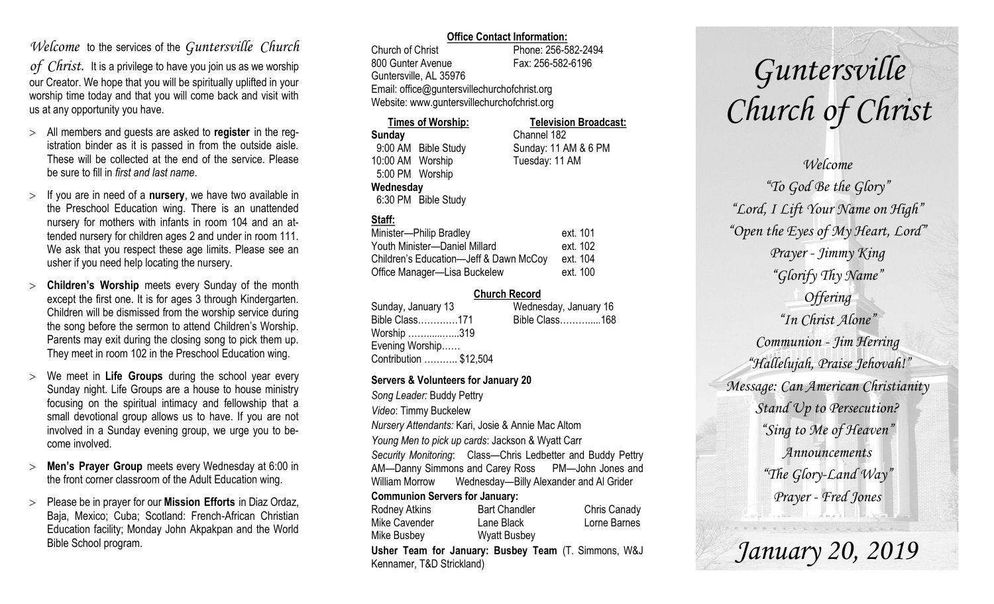## *Welcome* to the services of the *Guntersville Church*

*of Christ*. It is a privilege to have you join us as we worship our Creator. We hope that you will be spiritually uplifted in your worship time today and that you will come back and visit with us at any opportunity you have.

- All members and guests are asked to **register** in the registration binder as it is passed in from the outside aisle. These will be collected at the end of the service. Please be sure to fill in *first and last name*.
- $>$  If you are in need of a **nursery**, we have two available in the Preschool Education wing. There is an unattended nursery for mothers with infants in room 104 and an attended nursery for children ages 2 and under in room 111. We ask that you respect these age limits. Please see an usher if you need help locating the nursery.
- **Children's Worship** meets every Sunday of the month except the first one. It is for ages 3 through Kindergarten. Children will be dismissed from the worship service during the song before the sermon to attend Children's Worship. Parents may exit during the closing song to pick them up. They meet in room 102 in the Preschool Education wing.
- We meet in **Life Groups** during the school year every Sunday night. Life Groups are a house to house ministry focusing on the spiritual intimacy and fellowship that a small devotional group allows us to have. If you are not involved in a Sunday evening group, we urge you to become involved.
- **Men's Prayer Group** meets every Wednesday at 6:00 in the front corner classroom of the Adult Education wing.
- Please be in prayer for our **Mission Efforts** in Diaz Ordaz, Baja, Mexico; Cuba; Scotland: French-African Christian Education facility; Monday John Akpakpan and the World Bible School program.

### **Office Contact Information:**

Church of Christ Phone: 256-582-2494 800 Gunter Avenue Fax: 256-582-6196 Guntersville, AL 35976 Email: office@guntersvillechurchofchrist.org Website: www.guntersvillechurchofchrist.org

#### **Times of Worship: Television Broadcast: Sunday** Channel 182 9:00 AM Bible Study Sunday: 11 AM & 6 PM 10:00 AM Worship Tuesday: 11 AM 5:00 PM Worship **Wednesday** 6:30 PM Bible Study

### **Staff:**

| Minister-Philip Bradley                | ext. 101 |
|----------------------------------------|----------|
| Youth Minister-Daniel Millard          | ext. 102 |
| Children's Education-Jeff & Dawn McCoy | ext. 104 |
| Office Manager-Lisa Buckelew           | ext. 100 |

### **Church Record**

| Sunday, January 13     | Wednesday, January 16 |
|------------------------|-----------------------|
| Bible Class171         | Bible Class168        |
| Worship 319            |                       |
| Evening Worship        |                       |
| Contribution  \$12,504 |                       |

### **Servers & Volunteers for January 20**

*Song Leader:* Buddy Pettry *Video*: Timmy Buckelew *Nursery Attendants:* Kari, Josie & Annie Mac Altom *Young Men to pick up cards*: Jackson & Wyatt Carr *Security Monitoring*: Class—Chris Ledbetter and Buddy Pettry AM—Danny Simmons and Carey Ross PM—John Jones and William Morrow Wednesday—Billy Alexander and Al Grider **Communion Servers for January:**  Rodney Atkins **Bart Chandler** Chris Canady Mike Cavender Lane Black Lorne Barnes Mike Busbey Wyatt Busbey

**Usher Team for January: Busbey Team** (T. Simmons, W&J Kennamer, T&D Strickland)

# *Guntersville Church of Christ*

*Welcome "To God Be the Glory" "Lord, I Lift Your Name on High" "Open the Eyes of My Heart, Lord" Prayer - Jimmy King "Glorify Thy Name" Offering "In Christ Alone" Communion - Jim Herring "Hallelujah, Praise Jehovah!" Message: Can American Christianity Stand Up to Persecution? "Sing to Me of Heaven" Announcements "The Glory-Land Way" Prayer - Fred Jones*

*January 20, 2019*